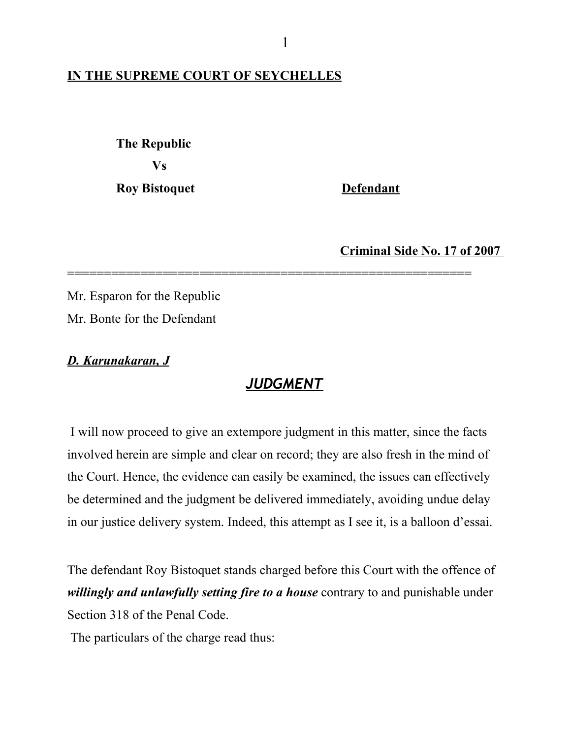## **IN THE SUPREME COURT OF SEYCHELLES**

 **The Republic Vs**

**Roy Bistoquet Defendant** 

**Criminal Side No. 17 of 2007** 

Mr. Esparon for the Republic Mr. Bonte for the Defendant

*D. Karunakaran, J*

## *JUDGMENT*

=======================================================

 I will now proceed to give an extempore judgment in this matter, since the facts involved herein are simple and clear on record; they are also fresh in the mind of the Court. Hence, the evidence can easily be examined, the issues can effectively be determined and the judgment be delivered immediately, avoiding undue delay in our justice delivery system. Indeed, this attempt as I see it, is a balloon d'essai.

The defendant Roy Bistoquet stands charged before this Court with the offence of *willingly and unlawfully setting fire to a house* contrary to and punishable under Section 318 of the Penal Code.

The particulars of the charge read thus: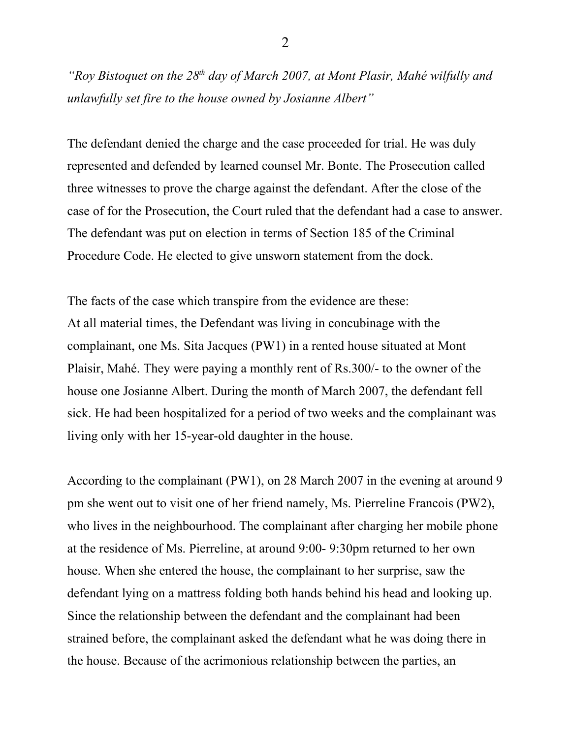*"Roy Bistoquet on the 28th day of March 2007, at Mont Plasir, Mahé wilfully and unlawfully set fire to the house owned by Josianne Albert"* 

The defendant denied the charge and the case proceeded for trial. He was duly represented and defended by learned counsel Mr. Bonte. The Prosecution called three witnesses to prove the charge against the defendant. After the close of the case of for the Prosecution, the Court ruled that the defendant had a case to answer. The defendant was put on election in terms of Section 185 of the Criminal Procedure Code. He elected to give unsworn statement from the dock.

The facts of the case which transpire from the evidence are these: At all material times, the Defendant was living in concubinage with the complainant, one Ms. Sita Jacques (PW1) in a rented house situated at Mont Plaisir, Mahé. They were paying a monthly rent of Rs.300/- to the owner of the house one Josianne Albert. During the month of March 2007, the defendant fell sick. He had been hospitalized for a period of two weeks and the complainant was living only with her 15-year-old daughter in the house.

According to the complainant (PW1), on 28 March 2007 in the evening at around 9 pm she went out to visit one of her friend namely, Ms. Pierreline Francois (PW2), who lives in the neighbourhood. The complainant after charging her mobile phone at the residence of Ms. Pierreline, at around 9:00- 9:30pm returned to her own house. When she entered the house, the complainant to her surprise, saw the defendant lying on a mattress folding both hands behind his head and looking up. Since the relationship between the defendant and the complainant had been strained before, the complainant asked the defendant what he was doing there in the house. Because of the acrimonious relationship between the parties, an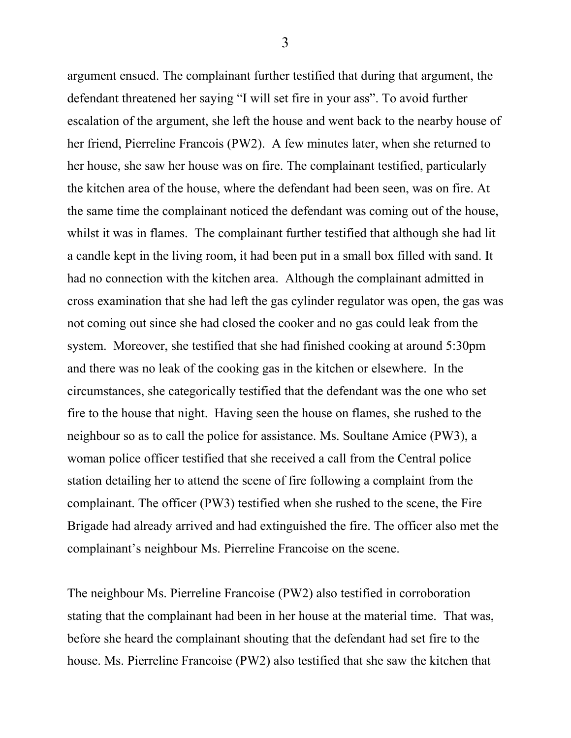argument ensued. The complainant further testified that during that argument, the defendant threatened her saying "I will set fire in your ass". To avoid further escalation of the argument, she left the house and went back to the nearby house of her friend, Pierreline Francois (PW2). A few minutes later, when she returned to her house, she saw her house was on fire. The complainant testified, particularly the kitchen area of the house, where the defendant had been seen, was on fire. At the same time the complainant noticed the defendant was coming out of the house, whilst it was in flames. The complainant further testified that although she had lit a candle kept in the living room, it had been put in a small box filled with sand. It had no connection with the kitchen area. Although the complainant admitted in cross examination that she had left the gas cylinder regulator was open, the gas was not coming out since she had closed the cooker and no gas could leak from the system. Moreover, she testified that she had finished cooking at around 5:30pm and there was no leak of the cooking gas in the kitchen or elsewhere. In the circumstances, she categorically testified that the defendant was the one who set fire to the house that night. Having seen the house on flames, she rushed to the neighbour so as to call the police for assistance. Ms. Soultane Amice (PW3), a woman police officer testified that she received a call from the Central police station detailing her to attend the scene of fire following a complaint from the complainant. The officer (PW3) testified when she rushed to the scene, the Fire Brigade had already arrived and had extinguished the fire. The officer also met the complainant's neighbour Ms. Pierreline Francoise on the scene.

The neighbour Ms. Pierreline Francoise (PW2) also testified in corroboration stating that the complainant had been in her house at the material time. That was, before she heard the complainant shouting that the defendant had set fire to the house. Ms. Pierreline Francoise (PW2) also testified that she saw the kitchen that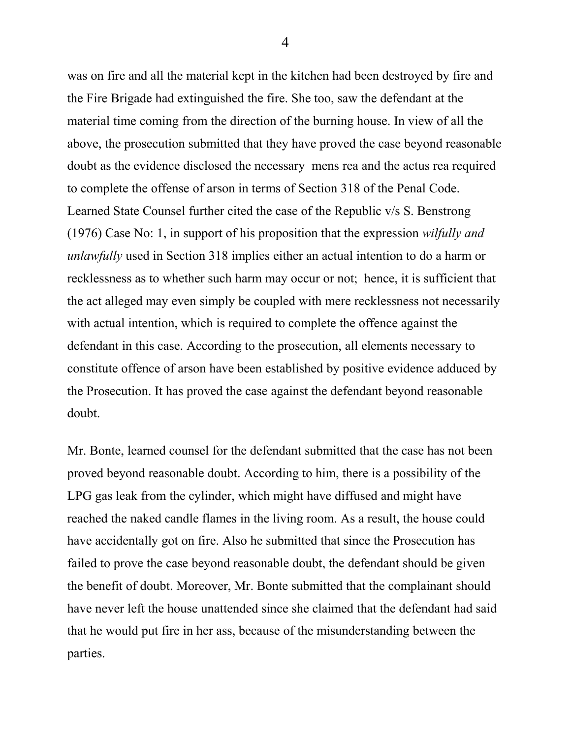was on fire and all the material kept in the kitchen had been destroyed by fire and the Fire Brigade had extinguished the fire. She too, saw the defendant at the material time coming from the direction of the burning house. In view of all the above, the prosecution submitted that they have proved the case beyond reasonable doubt as the evidence disclosed the necessary mens rea and the actus rea required to complete the offense of arson in terms of Section 318 of the Penal Code. Learned State Counsel further cited the case of the Republic v/s S. Benstrong (1976) Case No: 1, in support of his proposition that the expression *wilfully and unlawfully* used in Section 318 implies either an actual intention to do a harm or recklessness as to whether such harm may occur or not; hence, it is sufficient that the act alleged may even simply be coupled with mere recklessness not necessarily with actual intention, which is required to complete the offence against the defendant in this case. According to the prosecution, all elements necessary to constitute offence of arson have been established by positive evidence adduced by the Prosecution. It has proved the case against the defendant beyond reasonable doubt.

Mr. Bonte, learned counsel for the defendant submitted that the case has not been proved beyond reasonable doubt. According to him, there is a possibility of the LPG gas leak from the cylinder, which might have diffused and might have reached the naked candle flames in the living room. As a result, the house could have accidentally got on fire. Also he submitted that since the Prosecution has failed to prove the case beyond reasonable doubt, the defendant should be given the benefit of doubt. Moreover, Mr. Bonte submitted that the complainant should have never left the house unattended since she claimed that the defendant had said that he would put fire in her ass, because of the misunderstanding between the parties.

4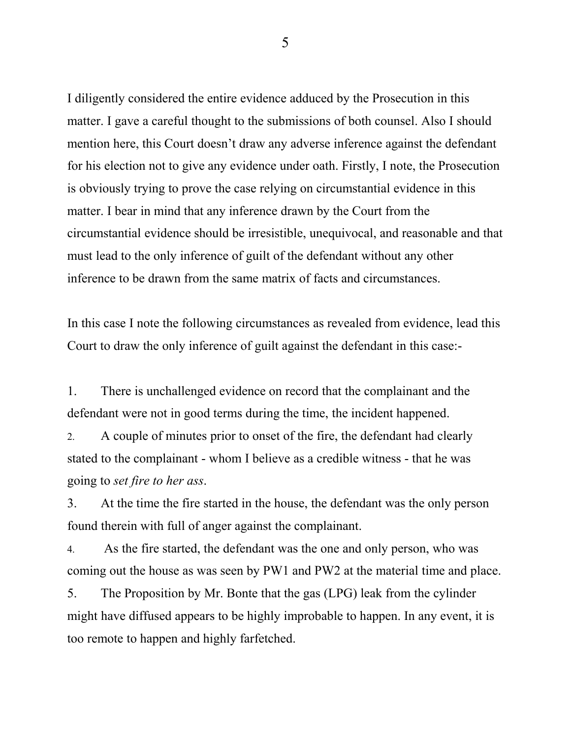I diligently considered the entire evidence adduced by the Prosecution in this matter. I gave a careful thought to the submissions of both counsel. Also I should mention here, this Court doesn't draw any adverse inference against the defendant for his election not to give any evidence under oath. Firstly, I note, the Prosecution is obviously trying to prove the case relying on circumstantial evidence in this matter. I bear in mind that any inference drawn by the Court from the circumstantial evidence should be irresistible, unequivocal, and reasonable and that must lead to the only inference of guilt of the defendant without any other inference to be drawn from the same matrix of facts and circumstances.

In this case I note the following circumstances as revealed from evidence, lead this Court to draw the only inference of guilt against the defendant in this case:-

1. There is unchallenged evidence on record that the complainant and the defendant were not in good terms during the time, the incident happened.

2. A couple of minutes prior to onset of the fire, the defendant had clearly stated to the complainant - whom I believe as a credible witness - that he was going to *set fire to her ass*.

3. At the time the fire started in the house, the defendant was the only person found therein with full of anger against the complainant.

4. As the fire started, the defendant was the one and only person, who was coming out the house as was seen by PW1 and PW2 at the material time and place.

5. The Proposition by Mr. Bonte that the gas (LPG) leak from the cylinder might have diffused appears to be highly improbable to happen. In any event, it is too remote to happen and highly farfetched.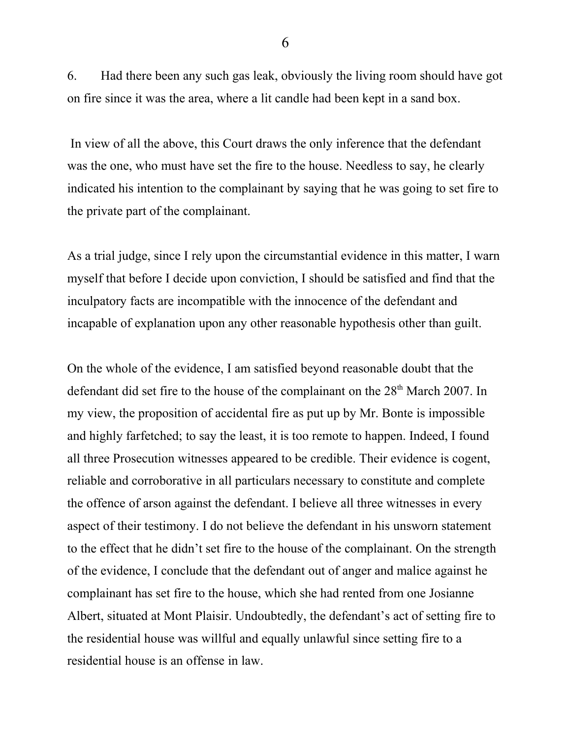6. Had there been any such gas leak, obviously the living room should have got on fire since it was the area, where a lit candle had been kept in a sand box.

 In view of all the above, this Court draws the only inference that the defendant was the one, who must have set the fire to the house. Needless to say, he clearly indicated his intention to the complainant by saying that he was going to set fire to the private part of the complainant.

As a trial judge, since I rely upon the circumstantial evidence in this matter, I warn myself that before I decide upon conviction, I should be satisfied and find that the inculpatory facts are incompatible with the innocence of the defendant and incapable of explanation upon any other reasonable hypothesis other than guilt.

On the whole of the evidence, I am satisfied beyond reasonable doubt that the defendant did set fire to the house of the complainant on the 28<sup>th</sup> March 2007. In my view, the proposition of accidental fire as put up by Mr. Bonte is impossible and highly farfetched; to say the least, it is too remote to happen. Indeed, I found all three Prosecution witnesses appeared to be credible. Their evidence is cogent, reliable and corroborative in all particulars necessary to constitute and complete the offence of arson against the defendant. I believe all three witnesses in every aspect of their testimony. I do not believe the defendant in his unsworn statement to the effect that he didn't set fire to the house of the complainant. On the strength of the evidence, I conclude that the defendant out of anger and malice against he complainant has set fire to the house, which she had rented from one Josianne Albert, situated at Mont Plaisir. Undoubtedly, the defendant's act of setting fire to the residential house was willful and equally unlawful since setting fire to a residential house is an offense in law.

6